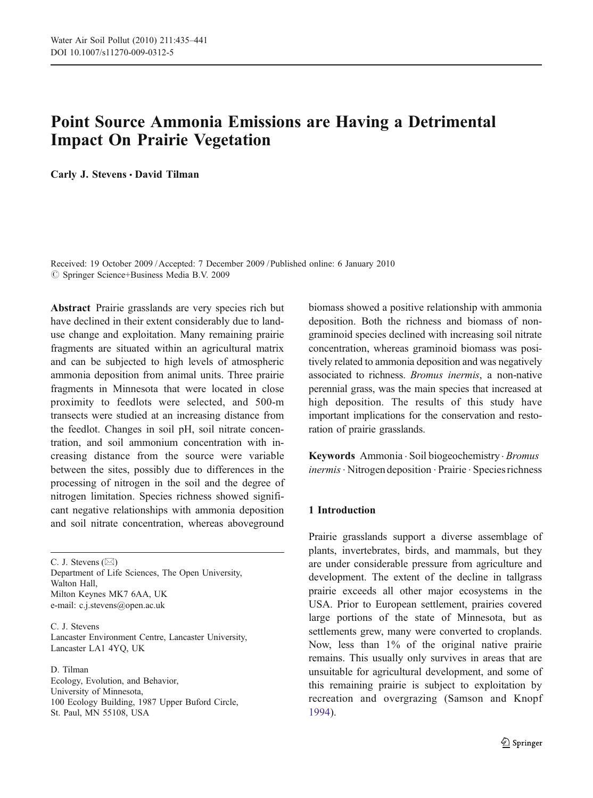# Point Source Ammonia Emissions are Having a Detrimental Impact On Prairie Vegetation

Carly J. Stevens · David Tilman

Received: 19 October 2009 /Accepted: 7 December 2009 / Published online: 6 January 2010  $\circledcirc$  Springer Science+Business Media B.V. 2009

Abstract Prairie grasslands are very species rich but have declined in their extent considerably due to landuse change and exploitation. Many remaining prairie fragments are situated within an agricultural matrix and can be subjected to high levels of atmospheric ammonia deposition from animal units. Three prairie fragments in Minnesota that were located in close proximity to feedlots were selected, and 500-m transects were studied at an increasing distance from the feedlot. Changes in soil pH, soil nitrate concentration, and soil ammonium concentration with increasing distance from the source were variable between the sites, possibly due to differences in the processing of nitrogen in the soil and the degree of nitrogen limitation. Species richness showed significant negative relationships with ammonia deposition and soil nitrate concentration, whereas aboveground

C. J. Stevens  $(\boxtimes)$ Department of Life Sciences, The Open University, Walton Hall, Milton Keynes MK7 6AA, UK e-mail: c.j.stevens@open.ac.uk

C. J. Stevens Lancaster Environment Centre, Lancaster University, Lancaster LA1 4YQ, UK

D. Tilman Ecology, Evolution, and Behavior, University of Minnesota, 100 Ecology Building, 1987 Upper Buford Circle, St. Paul, MN 55108, USA

biomass showed a positive relationship with ammonia deposition. Both the richness and biomass of nongraminoid species declined with increasing soil nitrate concentration, whereas graminoid biomass was positively related to ammonia deposition and was negatively associated to richness. Bromus inermis, a non-native perennial grass, was the main species that increased at high deposition. The results of this study have important implications for the conservation and restoration of prairie grasslands.

Keywords Ammonia . Soil biogeochemistry. Bromus inermis. Nitrogen deposition . Prairie . Species richness

## 1 Introduction

Prairie grasslands support a diverse assemblage of plants, invertebrates, birds, and mammals, but they are under considerable pressure from agriculture and development. The extent of the decline in tallgrass prairie exceeds all other major ecosystems in the USA. Prior to European settlement, prairies covered large portions of the state of Minnesota, but as settlements grew, many were converted to croplands. Now, less than 1% of the original native prairie remains. This usually only survives in areas that are unsuitable for agricultural development, and some of this remaining prairie is subject to exploitation by recreation and overgrazing (Samson and Knopf [1994\)](#page-6-0).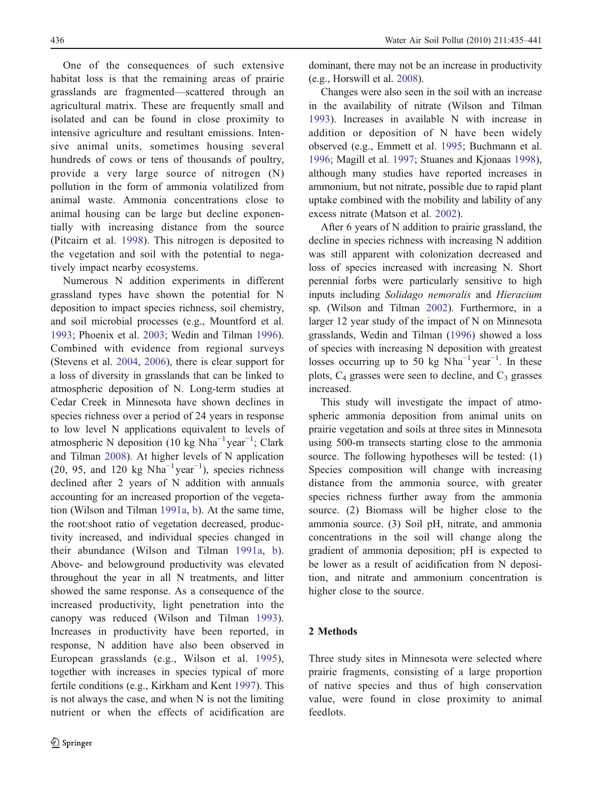One of the consequences of such extensive habitat loss is that the remaining areas of prairie grasslands are fragmented—scattered through an agricultural matrix. These are frequently small and isolated and can be found in close proximity to intensive agriculture and resultant emissions. Intensive animal units, sometimes housing several hundreds of cows or tens of thousands of poultry, provide a very large source of nitrogen (N) pollution in the form of ammonia volatilized from animal waste. Ammonia concentrations close to animal housing can be large but decline exponentially with increasing distance from the source (Pitcairn et al. [1998](#page-6-0)). This nitrogen is deposited to the vegetation and soil with the potential to negatively impact nearby ecosystems.

Numerous N addition experiments in different grassland types have shown the potential for N deposition to impact species richness, soil chemistry, and soil microbial processes (e.g., Mountford et al. [1993;](#page-6-0) Phoenix et al. [2003](#page-6-0); Wedin and Tilman [1996](#page-6-0)). Combined with evidence from regional surveys (Stevens et al. [2004](#page-6-0), [2006](#page-6-0)), there is clear support for a loss of diversity in grasslands that can be linked to atmospheric deposition of N. Long-term studies at Cedar Creek in Minnesota have shown declines in species richness over a period of 24 years in response to low level N applications equivalent to levels of atmospheric N deposition (10 kg Nha<sup>-1</sup>year<sup>-1</sup>; Clark and Tilman [2008\)](#page-6-0). At higher levels of N application  $(20, 95, and 120 kg Nha<sup>-1</sup> year<sup>-1</sup>)$ , species richness declined after 2 years of N addition with annuals accounting for an increased proportion of the vegetation (Wilson and Tilman [1991a](#page-6-0), [b\)](#page-6-0). At the same time, the root:shoot ratio of vegetation decreased, productivity increased, and individual species changed in their abundance (Wilson and Tilman [1991a](#page-6-0), [b](#page-6-0)). Above- and belowground productivity was elevated throughout the year in all N treatments, and litter showed the same response. As a consequence of the increased productivity, light penetration into the canopy was reduced (Wilson and Tilman [1993](#page-6-0)). Increases in productivity have been reported, in response, N addition have also been observed in European grasslands (e.g., Wilson et al. [1995](#page-6-0)), together with increases in species typical of more fertile conditions (e.g., Kirkham and Kent [1997](#page-6-0)). This is not always the case, and when N is not the limiting nutrient or when the effects of acidification are

dominant, there may not be an increase in productivity (e.g., Horswill et al. [2008\)](#page-6-0).

Changes were also seen in the soil with an increase in the availability of nitrate (Wilson and Tilman [1993\)](#page-6-0). Increases in available N with increase in addition or deposition of N have been widely observed (e.g., Emmett et al. [1995;](#page-6-0) Buchmann et al. [1996;](#page-6-0) Magill et al. [1997](#page-6-0); Stuanes and Kjonaas [1998\)](#page-6-0), although many studies have reported increases in ammonium, but not nitrate, possible due to rapid plant uptake combined with the mobility and lability of any excess nitrate (Matson et al. [2002\)](#page-6-0).

After 6 years of N addition to prairie grassland, the decline in species richness with increasing N addition was still apparent with colonization decreased and loss of species increased with increasing N. Short perennial forbs were particularly sensitive to high inputs including Solidago nemoralis and Hieracium sp. (Wilson and Tilman [2002](#page-6-0)). Furthermore, in a larger 12 year study of the impact of N on Minnesota grasslands, Wedin and Tilman [\(1996](#page-6-0)) showed a loss of species with increasing N deposition with greatest losses occurring up to 50 kg Nha<sup>-1</sup>year<sup>-1</sup>. In these plots,  $C_4$  grasses were seen to decline, and  $C_3$  grasses increased.

This study will investigate the impact of atmospheric ammonia deposition from animal units on prairie vegetation and soils at three sites in Minnesota using 500-m transects starting close to the ammonia source. The following hypotheses will be tested: (1) Species composition will change with increasing distance from the ammonia source, with greater species richness further away from the ammonia source. (2) Biomass will be higher close to the ammonia source. (3) Soil pH, nitrate, and ammonia concentrations in the soil will change along the gradient of ammonia deposition; pH is expected to be lower as a result of acidification from N deposition, and nitrate and ammonium concentration is higher close to the source.

### 2 Methods

Three study sites in Minnesota were selected where prairie fragments, consisting of a large proportion of native species and thus of high conservation value, were found in close proximity to animal feedlots.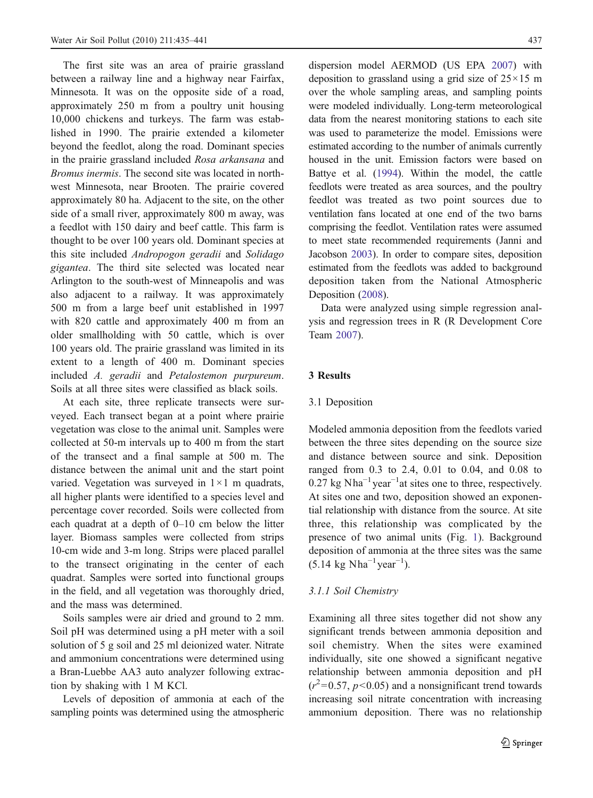The first site was an area of prairie grassland between a railway line and a highway near Fairfax, Minnesota. It was on the opposite side of a road, approximately 250 m from a poultry unit housing 10,000 chickens and turkeys. The farm was established in 1990. The prairie extended a kilometer beyond the feedlot, along the road. Dominant species in the prairie grassland included Rosa arkansana and Bromus inermis. The second site was located in northwest Minnesota, near Brooten. The prairie covered approximately 80 ha. Adjacent to the site, on the other side of a small river, approximately 800 m away, was a feedlot with 150 dairy and beef cattle. This farm is thought to be over 100 years old. Dominant species at this site included Andropogon geradii and Solidago gigantea. The third site selected was located near Arlington to the south-west of Minneapolis and was also adjacent to a railway. It was approximately 500 m from a large beef unit established in 1997 with 820 cattle and approximately 400 m from an older smallholding with 50 cattle, which is over 100 years old. The prairie grassland was limited in its extent to a length of 400 m. Dominant species included A. geradii and Petalostemon purpureum. Soils at all three sites were classified as black soils.

At each site, three replicate transects were surveyed. Each transect began at a point where prairie vegetation was close to the animal unit. Samples were collected at 50-m intervals up to 400 m from the start of the transect and a final sample at 500 m. The distance between the animal unit and the start point varied. Vegetation was surveyed in  $1 \times 1$  m quadrats, all higher plants were identified to a species level and percentage cover recorded. Soils were collected from each quadrat at a depth of 0–10 cm below the litter layer. Biomass samples were collected from strips 10-cm wide and 3-m long. Strips were placed parallel to the transect originating in the center of each quadrat. Samples were sorted into functional groups in the field, and all vegetation was thoroughly dried, and the mass was determined.

Soils samples were air dried and ground to 2 mm. Soil pH was determined using a pH meter with a soil solution of 5 g soil and 25 ml deionized water. Nitrate and ammonium concentrations were determined using a Bran-Luebbe AA3 auto analyzer following extraction by shaking with 1 M KCl.

Levels of deposition of ammonia at each of the sampling points was determined using the atmospheric dispersion model AERMOD (US EPA [2007](#page-6-0)) with deposition to grassland using a grid size of  $25 \times 15$  m over the whole sampling areas, and sampling points were modeled individually. Long-term meteorological data from the nearest monitoring stations to each site was used to parameterize the model. Emissions were estimated according to the number of animals currently housed in the unit. Emission factors were based on Battye et al. ([1994](#page-6-0)). Within the model, the cattle feedlots were treated as area sources, and the poultry feedlot was treated as two point sources due to ventilation fans located at one end of the two barns comprising the feedlot. Ventilation rates were assumed to meet state recommended requirements (Janni and Jacobson [2003\)](#page-6-0). In order to compare sites, deposition estimated from the feedlots was added to background deposition taken from the National Atmospheric Deposition ([2008](#page-6-0)).

Data were analyzed using simple regression analysis and regression trees in R (R Development Core Team [2007\)](#page-6-0).

# 3 Results

# 3.1 Deposition

Modeled ammonia deposition from the feedlots varied between the three sites depending on the source size and distance between source and sink. Deposition ranged from 0.3 to 2.4, 0.01 to 0.04, and 0.08 to 0.27 kg Nha<sup>-1</sup> year<sup>-1</sup>at sites one to three, respectively. At sites one and two, deposition showed an exponential relationship with distance from the source. At site three, this relationship was complicated by the presence of two animal units (Fig. [1](#page-3-0)). Background deposition of ammonia at the three sites was the same  $(5.14 \text{ kg Nha}^{-1} \text{year}^{-1}).$ 

### 3.1.1 Soil Chemistry

Examining all three sites together did not show any significant trends between ammonia deposition and soil chemistry. When the sites were examined individually, site one showed a significant negative relationship between ammonia deposition and pH  $(r^2=0.57, p<0.05)$  and a nonsignificant trend towards increasing soil nitrate concentration with increasing ammonium deposition. There was no relationship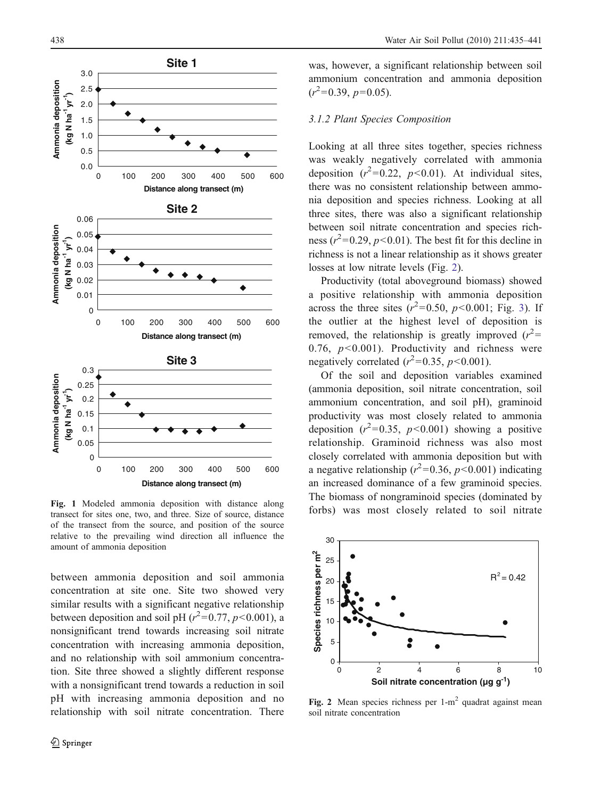<span id="page-3-0"></span>

Fig. 1 Modeled ammonia deposition with distance along transect for sites one, two, and three. Size of source, distance of the transect from the source, and position of the source relative to the prevailing wind direction all influence the amount of ammonia deposition

between ammonia deposition and soil ammonia concentration at site one. Site two showed very similar results with a significant negative relationship between deposition and soil pH  $(r^2=0.77, p<0.001)$ , a nonsignificant trend towards increasing soil nitrate concentration with increasing ammonia deposition, and no relationship with soil ammonium concentration. Site three showed a slightly different response with a nonsignificant trend towards a reduction in soil pH with increasing ammonia deposition and no relationship with soil nitrate concentration. There was, however, a significant relationship between soil ammonium concentration and ammonia deposition  $(r^2=0.39, p=0.05)$ .

## 3.1.2 Plant Species Composition

Looking at all three sites together, species richness was weakly negatively correlated with ammonia deposition  $(r^2=0.22, p<0.01)$ . At individual sites, there was no consistent relationship between ammonia deposition and species richness. Looking at all three sites, there was also a significant relationship between soil nitrate concentration and species richness ( $r^2$ =0.29,  $p$ <0.01). The best fit for this decline in richness is not a linear relationship as it shows greater losses at low nitrate levels (Fig. 2).

Productivity (total aboveground biomass) showed a positive relationship with ammonia deposition across the three sites  $(r^2=0.50, p<0.001;$  Fig. [3\)](#page-4-0). If the outlier at the highest level of deposition is removed, the relationship is greatly improved  $(r^2 =$ 0.76,  $p<0.001$ ). Productivity and richness were negatively correlated ( $r^2$ =0.35, p<0.001).

Of the soil and deposition variables examined (ammonia deposition, soil nitrate concentration, soil ammonium concentration, and soil pH), graminoid productivity was most closely related to ammonia deposition  $(r^2=0.35, p<0.001)$  showing a positive relationship. Graminoid richness was also most closely correlated with ammonia deposition but with a negative relationship ( $r^2$ =0.36,  $p$ <0.001) indicating an increased dominance of a few graminoid species. The biomass of nongraminoid species (dominated by forbs) was most closely related to soil nitrate



Fig. 2 Mean species richness per  $1-m^2$  quadrat against mean soil nitrate concentration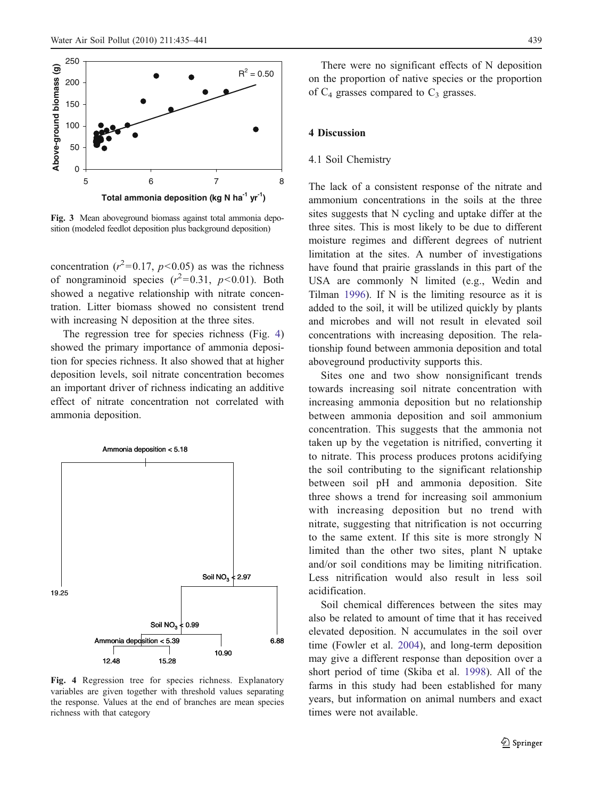<span id="page-4-0"></span>

Fig. 3 Mean aboveground biomass against total ammonia deposition (modeled feedlot deposition plus background deposition)

concentration ( $r^2$ =0.17,  $p$ <0.05) as was the richness of nongraminoid species  $(r^2=0.31, p<0.01)$ . Both showed a negative relationship with nitrate concentration. Litter biomass showed no consistent trend with increasing N deposition at the three sites.

The regression tree for species richness (Fig. 4) showed the primary importance of ammonia deposition for species richness. It also showed that at higher deposition levels, soil nitrate concentration becomes an important driver of richness indicating an additive effect of nitrate concentration not correlated with ammonia deposition.



Fig. 4 Regression tree for species richness. Explanatory variables are given together with threshold values separating the response. Values at the end of branches are mean species richness with that category

There were no significant effects of N deposition on the proportion of native species or the proportion of  $C_4$  grasses compared to  $C_3$  grasses.

## 4 Discussion

#### 4.1 Soil Chemistry

The lack of a consistent response of the nitrate and ammonium concentrations in the soils at the three sites suggests that N cycling and uptake differ at the three sites. This is most likely to be due to different moisture regimes and different degrees of nutrient limitation at the sites. A number of investigations have found that prairie grasslands in this part of the USA are commonly N limited (e.g., Wedin and Tilman [1996](#page-6-0)). If  $N$  is the limiting resource as it is added to the soil, it will be utilized quickly by plants and microbes and will not result in elevated soil concentrations with increasing deposition. The relationship found between ammonia deposition and total aboveground productivity supports this.

Sites one and two show nonsignificant trends towards increasing soil nitrate concentration with increasing ammonia deposition but no relationship between ammonia deposition and soil ammonium concentration. This suggests that the ammonia not taken up by the vegetation is nitrified, converting it to nitrate. This process produces protons acidifying the soil contributing to the significant relationship between soil pH and ammonia deposition. Site three shows a trend for increasing soil ammonium with increasing deposition but no trend with nitrate, suggesting that nitrification is not occurring to the same extent. If this site is more strongly N limited than the other two sites, plant N uptake and/or soil conditions may be limiting nitrification. Less nitrification would also result in less soil acidification.

Soil chemical differences between the sites may also be related to amount of time that it has received elevated deposition. N accumulates in the soil over time (Fowler et al. [2004](#page-6-0)), and long-term deposition may give a different response than deposition over a short period of time (Skiba et al. [1998\)](#page-6-0). All of the farms in this study had been established for many years, but information on animal numbers and exact times were not available.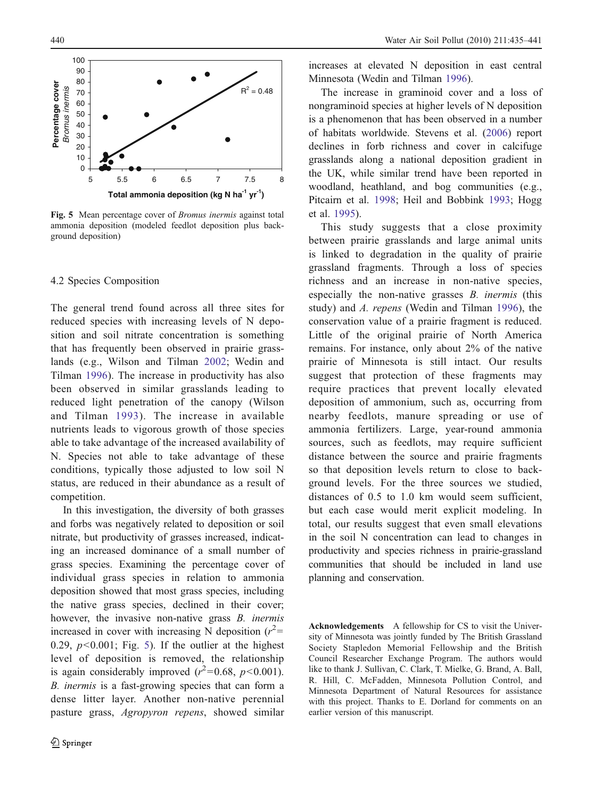

Fig. 5 Mean percentage cover of Bromus inermis against total ammonia deposition (modeled feedlot deposition plus background deposition)

#### 4.2 Species Composition

The general trend found across all three sites for reduced species with increasing levels of N deposition and soil nitrate concentration is something that has frequently been observed in prairie grasslands (e.g., Wilson and Tilman [2002](#page-6-0); Wedin and Tilman [1996](#page-6-0)). The increase in productivity has also been observed in similar grasslands leading to reduced light penetration of the canopy (Wilson and Tilman [1993\)](#page-6-0). The increase in available nutrients leads to vigorous growth of those species able to take advantage of the increased availability of N. Species not able to take advantage of these conditions, typically those adjusted to low soil N status, are reduced in their abundance as a result of competition.

In this investigation, the diversity of both grasses and forbs was negatively related to deposition or soil nitrate, but productivity of grasses increased, indicating an increased dominance of a small number of grass species. Examining the percentage cover of individual grass species in relation to ammonia deposition showed that most grass species, including the native grass species, declined in their cover; however, the invasive non-native grass *B. inermis* increased in cover with increasing N deposition  $(r^2 =$ 0.29,  $p<0.001$ ; Fig. 5). If the outlier at the highest level of deposition is removed, the relationship is again considerably improved  $(r^2=0.68, p<0.001)$ . B. inermis is a fast-growing species that can form a dense litter layer. Another non-native perennial pasture grass, Agropyron repens, showed similar increases at elevated N deposition in east central Minnesota (Wedin and Tilman [1996](#page-6-0)).

The increase in graminoid cover and a loss of nongraminoid species at higher levels of N deposition is a phenomenon that has been observed in a number of habitats worldwide. Stevens et al. ([2006\)](#page-6-0) report declines in forb richness and cover in calcifuge grasslands along a national deposition gradient in the UK, while similar trend have been reported in woodland, heathland, and bog communities (e.g., Pitcairn et al. [1998](#page-6-0); Heil and Bobbink [1993](#page-6-0); Hogg et al. [1995](#page-6-0)).

This study suggests that a close proximity between prairie grasslands and large animal units is linked to degradation in the quality of prairie grassland fragments. Through a loss of species richness and an increase in non-native species, especially the non-native grasses B. inermis (this study) and A. repens (Wedin and Tilman [1996\)](#page-6-0), the conservation value of a prairie fragment is reduced. Little of the original prairie of North America remains. For instance, only about 2% of the native prairie of Minnesota is still intact. Our results suggest that protection of these fragments may require practices that prevent locally elevated deposition of ammonium, such as, occurring from nearby feedlots, manure spreading or use of ammonia fertilizers. Large, year-round ammonia sources, such as feedlots, may require sufficient distance between the source and prairie fragments so that deposition levels return to close to background levels. For the three sources we studied, distances of 0.5 to 1.0 km would seem sufficient, but each case would merit explicit modeling. In total, our results suggest that even small elevations in the soil N concentration can lead to changes in productivity and species richness in prairie-grassland communities that should be included in land use planning and conservation.

Acknowledgements A fellowship for CS to visit the University of Minnesota was jointly funded by The British Grassland Society Stapledon Memorial Fellowship and the British Council Researcher Exchange Program. The authors would like to thank J. Sullivan, C. Clark, T. Mielke, G. Brand, A. Ball, R. Hill, C. McFadden, Minnesota Pollution Control, and Minnesota Department of Natural Resources for assistance with this project. Thanks to E. Dorland for comments on an earlier version of this manuscript.